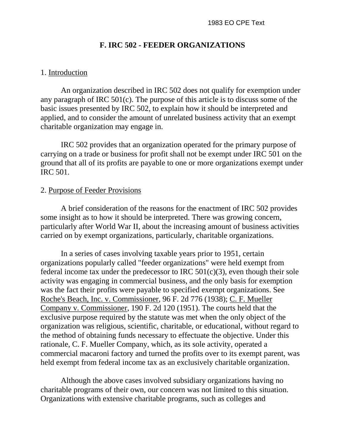### **F. IRC 502 - FEEDER ORGANIZATIONS**

### 1. Introduction

An organization described in IRC 502 does not qualify for exemption under any paragraph of IRC 501(c). The purpose of this article is to discuss some of the basic issues presented by IRC 502, to explain how it should be interpreted and applied, and to consider the amount of unrelated business activity that an exempt charitable organization may engage in.

IRC 502 provides that an organization operated for the primary purpose of carrying on a trade or business for profit shall not be exempt under IRC 501 on the ground that all of its profits are payable to one or more organizations exempt under IRC 501.

### 2. Purpose of Feeder Provisions

A brief consideration of the reasons for the enactment of IRC 502 provides some insight as to how it should be interpreted. There was growing concern, particularly after World War II, about the increasing amount of business activities carried on by exempt organizations, particularly, charitable organizations.

In a series of cases involving taxable years prior to 1951, certain organizations popularly called "feeder organizations" were held exempt from federal income tax under the predecessor to IRC  $501(c)(3)$ , even though their sole activity was engaging in commercial business, and the only basis for exemption was the fact their profits were payable to specified exempt organizations. See Roche's Beach, Inc. v. Commissioner, 96 F. 2d 776 (1938); C. F. Mueller Company v. Commissioner, 190 F. 2d 120 (1951). The courts held that the exclusive purpose required by the statute was met when the only object of the organization was religious, scientific, charitable, or educational, without regard to the method of obtaining funds necessary to effectuate the objective. Under this rationale, C. F. Mueller Company, which, as its sole activity, operated a commercial macaroni factory and turned the profits over to its exempt parent, was held exempt from federal income tax as an exclusively charitable organization.

Although the above cases involved subsidiary organizations having no charitable programs of their own, our concern was not limited to this situation. Organizations with extensive charitable programs, such as colleges and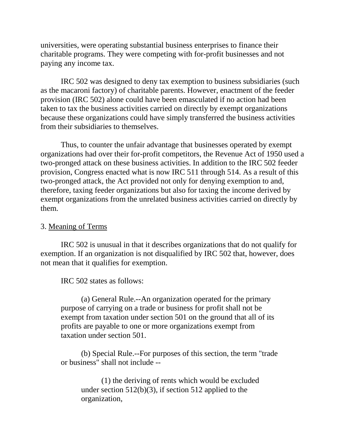universities, were operating substantial business enterprises to finance their charitable programs. They were competing with for-profit businesses and not paying any income tax.

IRC 502 was designed to deny tax exemption to business subsidiaries (such as the macaroni factory) of charitable parents. However, enactment of the feeder provision (IRC 502) alone could have been emasculated if no action had been taken to tax the business activities carried on directly by exempt organizations because these organizations could have simply transferred the business activities from their subsidiaries to themselves.

Thus, to counter the unfair advantage that businesses operated by exempt organizations had over their for-profit competitors, the Revenue Act of 1950 used a two-pronged attack on these business activities. In addition to the IRC 502 feeder provision, Congress enacted what is now IRC 511 through 514. As a result of this two-pronged attack, the Act provided not only for denying exemption to and, therefore, taxing feeder organizations but also for taxing the income derived by exempt organizations from the unrelated business activities carried on directly by them.

### 3. Meaning of Terms

IRC 502 is unusual in that it describes organizations that do not qualify for exemption. If an organization is not disqualified by IRC 502 that, however, does not mean that it qualifies for exemption.

IRC 502 states as follows:

(a) General Rule.--An organization operated for the primary purpose of carrying on a trade or business for profit shall not be exempt from taxation under section 501 on the ground that all of its profits are payable to one or more organizations exempt from taxation under section 501.

(b) Special Rule.--For purposes of this section, the term "trade or business" shall not include --

(1) the deriving of rents which would be excluded under section  $512(b)(3)$ , if section  $512$  applied to the organization,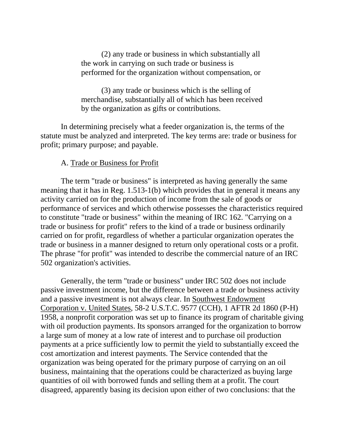(2) any trade or business in which substantially all the work in carrying on such trade or business is performed for the organization without compensation, or

(3) any trade or business which is the selling of merchandise, substantially all of which has been received by the organization as gifts or contributions.

In determining precisely what a feeder organization is, the terms of the statute must be analyzed and interpreted. The key terms are: trade or business for profit; primary purpose; and payable.

### A. Trade or Business for Profit

The term "trade or business" is interpreted as having generally the same meaning that it has in Reg. 1.513-1(b) which provides that in general it means any activity carried on for the production of income from the sale of goods or performance of services and which otherwise possesses the characteristics required to constitute "trade or business" within the meaning of IRC 162. "Carrying on a trade or business for profit" refers to the kind of a trade or business ordinarily carried on for profit, regardless of whether a particular organization operates the trade or business in a manner designed to return only operational costs or a profit. The phrase "for profit" was intended to describe the commercial nature of an IRC 502 organization's activities.

Generally, the term "trade or business" under IRC 502 does not include passive investment income, but the difference between a trade or business activity and a passive investment is not always clear. In Southwest Endowment Corporation v. United States, 58-2 U.S.T.C. 9577 (CCH), 1 AFTR 2d 1860 (P-H) 1958, a nonprofit corporation was set up to finance its program of charitable giving with oil production payments. Its sponsors arranged for the organization to borrow a large sum of money at a low rate of interest and to purchase oil production payments at a price sufficiently low to permit the yield to substantially exceed the cost amortization and interest payments. The Service contended that the organization was being operated for the primary purpose of carrying on an oil business, maintaining that the operations could be characterized as buying large quantities of oil with borrowed funds and selling them at a profit. The court disagreed, apparently basing its decision upon either of two conclusions: that the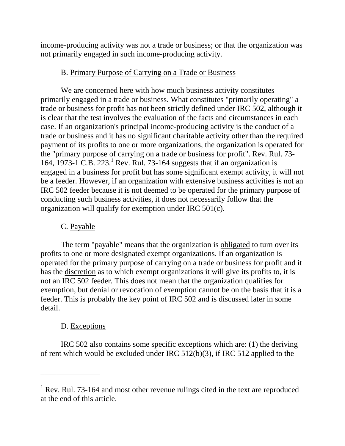income-producing activity was not a trade or business; or that the organization was not primarily engaged in such income-producing activity.

# B. Primary Purpose of Carrying on a Trade or Business

We are concerned here with how much business activity constitutes primarily engaged in a trade or business. What constitutes "primarily operating" a trade or business for profit has not been strictly defined under IRC 502, although it is clear that the test involves the evaluation of the facts and circumstances in each case. If an organization's principal income-producing activity is the conduct of a trade or business and it has no significant charitable activity other than the required payment of its profits to one or more organizations, the organization is operated for the "primary purpose of carrying on a trade or business for profit". Rev. Rul. 73- 164, 1973-1 C.B. 223.<sup>1</sup> Rev. Rul. 73-164 suggests that if an organization is engaged in a business for profit but has some significant exempt activity, it will not be a feeder. However, if an organization with extensive business activities is not an IRC 502 feeder because it is not deemed to be operated for the primary purpose of conducting such business activities, it does not necessarily follow that the organization will qualify for exemption under IRC 501(c).

# C. Payable

The term "payable" means that the organization is obligated to turn over its profits to one or more designated exempt organizations. If an organization is operated for the primary purpose of carrying on a trade or business for profit and it has the discretion as to which exempt organizations it will give its profits to, it is not an IRC 502 feeder. This does not mean that the organization qualifies for exemption, but denial or revocation of exemption cannot be on the basis that it is a feeder. This is probably the key point of IRC 502 and is discussed later in some detail.

# D. Exceptions

\_\_\_\_\_\_\_\_\_\_\_\_\_\_\_

IRC 502 also contains some specific exceptions which are: (1) the deriving of rent which would be excluded under IRC 512(b)(3), if IRC 512 applied to the

<sup>&</sup>lt;sup>1</sup> Rev. Rul. 73-164 and most other revenue rulings cited in the text are reproduced at the end of this article.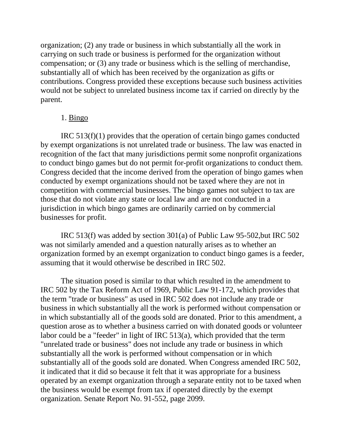organization; (2) any trade or business in which substantially all the work in carrying on such trade or business is performed for the organization without compensation; or (3) any trade or business which is the selling of merchandise, substantially all of which has been received by the organization as gifts or contributions. Congress provided these exceptions because such business activities would not be subject to unrelated business income tax if carried on directly by the parent.

### 1. Bingo

IRC 513(f)(1) provides that the operation of certain bingo games conducted by exempt organizations is not unrelated trade or business. The law was enacted in recognition of the fact that many jurisdictions permit some nonprofit organizations to conduct bingo games but do not permit for-profit organizations to conduct them. Congress decided that the income derived from the operation of bingo games when conducted by exempt organizations should not be taxed where they are not in competition with commercial businesses. The bingo games not subject to tax are those that do not violate any state or local law and are not conducted in a jurisdiction in which bingo games are ordinarily carried on by commercial businesses for profit.

IRC 513(f) was added by section 301(a) of Public Law 95-502,but IRC 502 was not similarly amended and a question naturally arises as to whether an organization formed by an exempt organization to conduct bingo games is a feeder, assuming that it would otherwise be described in IRC 502.

The situation posed is similar to that which resulted in the amendment to IRC 502 by the Tax Reform Act of 1969, Public Law 91-172, which provides that the term "trade or business" as used in IRC 502 does not include any trade or business in which substantially all the work is performed without compensation or in which substantially all of the goods sold are donated. Prior to this amendment, a question arose as to whether a business carried on with donated goods or volunteer labor could be a "feeder" in light of IRC 513(a), which provided that the term "unrelated trade or business" does not include any trade or business in which substantially all the work is performed without compensation or in which substantially all of the goods sold are donated. When Congress amended IRC 502, it indicated that it did so because it felt that it was appropriate for a business operated by an exempt organization through a separate entity not to be taxed when the business would be exempt from tax if operated directly by the exempt organization. Senate Report No. 91-552, page 2099.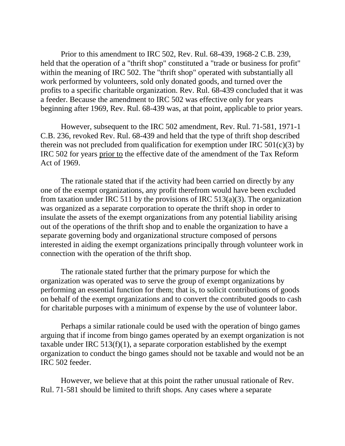Prior to this amendment to IRC 502, Rev. Rul. 68-439, 1968-2 C.B. 239, held that the operation of a "thrift shop" constituted a "trade or business for profit" within the meaning of IRC 502. The "thrift shop" operated with substantially all work performed by volunteers, sold only donated goods, and turned over the profits to a specific charitable organization. Rev. Rul. 68-439 concluded that it was a feeder. Because the amendment to IRC 502 was effective only for years beginning after 1969, Rev. Rul. 68-439 was, at that point, applicable to prior years.

However, subsequent to the IRC 502 amendment, Rev. Rul. 71-581, 1971-1 C.B. 236, revoked Rev. Rul. 68-439 and held that the type of thrift shop described therein was not precluded from qualification for exemption under IRC  $501(c)(3)$  by IRC 502 for years prior to the effective date of the amendment of the Tax Reform Act of 1969.

The rationale stated that if the activity had been carried on directly by any one of the exempt organizations, any profit therefrom would have been excluded from taxation under IRC 511 by the provisions of IRC 513(a)(3). The organization was organized as a separate corporation to operate the thrift shop in order to insulate the assets of the exempt organizations from any potential liability arising out of the operations of the thrift shop and to enable the organization to have a separate governing body and organizational structure composed of persons interested in aiding the exempt organizations principally through volunteer work in connection with the operation of the thrift shop.

The rationale stated further that the primary purpose for which the organization was operated was to serve the group of exempt organizations by performing an essential function for them; that is, to solicit contributions of goods on behalf of the exempt organizations and to convert the contributed goods to cash for charitable purposes with a minimum of expense by the use of volunteer labor.

Perhaps a similar rationale could be used with the operation of bingo games arguing that if income from bingo games operated by an exempt organization is not taxable under IRC  $513(f)(1)$ , a separate corporation established by the exempt organization to conduct the bingo games should not be taxable and would not be an IRC 502 feeder.

However, we believe that at this point the rather unusual rationale of Rev. Rul. 71-581 should be limited to thrift shops. Any cases where a separate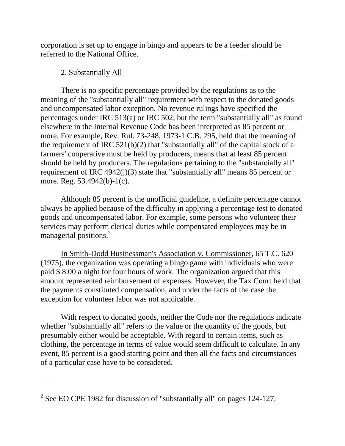corporation is set up to engage in bingo and appears to be a feeder should be referred to the National Office.

## 2. Substantially All

\_\_\_\_\_\_\_\_\_\_\_\_\_\_\_\_\_\_\_\_\_\_\_\_\_\_\_

There is no specific percentage provided by the regulations as to the meaning of the "substantially all" requirement with respect to the donated goods and uncompensated labor exception. No revenue rulings have specified the percentages under IRC 513(a) or IRC 502, but the term "substantially all" as found elsewhere in the Internal Revenue Code has been interpreted as 85 percent or more. For example, Rev. Rul. 73-248, 1973-1 C.B. 295, held that the meaning of the requirement of IRC 521(b)(2) that "substantially all" of the capital stock of a farmers' cooperative must be held by producers, means that at least 85 percent should be held by producers. The regulations pertaining to the "substantially all" requirement of IRC 4942(j)(3) state that "substantially all" means 85 percent or more. Reg. 53.4942(b)-1(c).

Although 85 percent is the unofficial guideline, a definite percentage cannot always be applied because of the difficulty in applying a percentage test to donated goods and uncompensated labor. For example, some persons who volunteer their services may perform clerical duties while compensated employees may be in managerial positions.<sup>2</sup>

In Smith-Dodd Businessman's Association v. Commissioner, 65 T.C. 620 (1975), the organization was operating a bingo game with individuals who were paid \$ 8.00 a night for four hours of work. The organization argued that this amount represented reimbursement of expenses. However, the Tax Court held that the payments constituted compensation, and under the facts of the case the exception for volunteer labor was not applicable.

With respect to donated goods, neither the Code nor the regulations indicate whether "substantially all" refers to the value or the quantity of the goods, but presumably either would be acceptable. With regard to certain items, such as clothing, the percentage in terms of value would seem difficult to calculate. In any event, 85 percent is a good starting point and then all the facts and circumstances of a particular case have to be considered.

<sup>&</sup>lt;sup>2</sup> See EO CPE 1982 for discussion of "substantially all" on pages 124-127.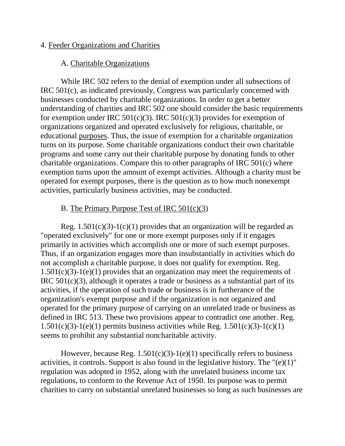### 4. Feeder Organizations and Charities

## A. Charitable Organizations

While IRC 502 refers to the denial of exemption under all subsections of IRC 501(c), as indicated previously, Congress was particularly concerned with businesses conducted by charitable organizations. In order to get a better understanding of charities and IRC 502 one should consider the basic requirements for exemption under IRC  $501(c)(3)$ . IRC  $501(c)(3)$  provides for exemption of organizations organized and operated exclusively for religious, charitable, or educational purposes. Thus, the issue of exemption for a charitable organization turns on its purpose. Some charitable organizations conduct their own charitable programs and some carry out their charitable purpose by donating funds to other charitable organizations. Compare this to other paragraphs of IRC 501(c) where exemption turns upon the amount of exempt activities. Although a charity must be operated for exempt purposes, there is the question as to how much nonexempt activities, particularly business activities, may be conducted.

## B. The Primary Purpose Test of IRC 501(c)(3)

Reg.  $1.501(c)(3)-1(c)(1)$  provides that an organization will be regarded as "operated exclusively" for one or more exempt purposes only if it engages primarily in activities which accomplish one or more of such exempt purposes. Thus, if an organization engages more than insubstantially in activities which do not accomplish a charitable purpose, it does not qualify for exemption. Reg. 1.501(c)(3)-1(e)(1) provides that an organization may meet the requirements of IRC 501(c)(3), although it operates a trade or business as a substantial part of its activities, if the operation of such trade or business is in furtherance of the organization's exempt purpose and if the organization is not organized and operated for the primary purpose of carrying on an unrelated trade or business as defined in IRC 513. These two provisions appear to contradict one another. Reg.  $1.501(c)(3)-1(e)(1)$  permits business activities while Reg.  $1.501(c)(3)-1(c)(1)$ seems to prohibit any substantial noncharitable activity.

However, because Reg.  $1.501(c)(3)-1(e)(1)$  specifically refers to business activities, it controls. Support is also found in the legislative history. The "(e)(1)" regulation was adopted in 1952, along with the unrelated business income tax regulations, to conform to the Revenue Act of 1950. Its purpose was to permit charities to carry on substantial unrelated businesses so long as such businesses are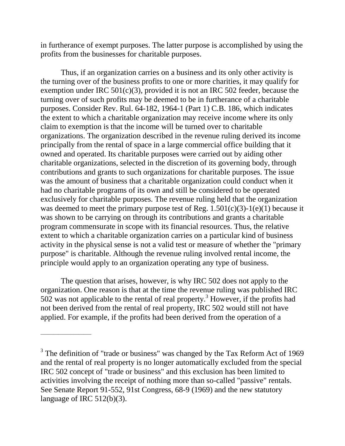in furtherance of exempt purposes. The latter purpose is accomplished by using the profits from the businesses for charitable purposes.

Thus, if an organization carries on a business and its only other activity is the turning over of the business profits to one or more charities, it may qualify for exemption under IRC  $501(c)(3)$ , provided it is not an IRC 502 feeder, because the turning over of such profits may be deemed to be in furtherance of a charitable purposes. Consider Rev. Rul. 64-182, 1964-1 (Part 1) C.B. 186, which indicates the extent to which a charitable organization may receive income where its only claim to exemption is that the income will be turned over to charitable organizations. The organization described in the revenue ruling derived its income principally from the rental of space in a large commercial office building that it owned and operated. Its charitable purposes were carried out by aiding other charitable organizations, selected in the discretion of its governing body, through contributions and grants to such organizations for charitable purposes. The issue was the amount of business that a charitable organization could conduct when it had no charitable programs of its own and still be considered to be operated exclusively for charitable purposes. The revenue ruling held that the organization was deemed to meet the primary purpose test of Reg.  $1.501(c)(3)-1(e)(1)$  because it was shown to be carrying on through its contributions and grants a charitable program commensurate in scope with its financial resources. Thus, the relative extent to which a charitable organization carries on a particular kind of business activity in the physical sense is not a valid test or measure of whether the "primary purpose" is charitable. Although the revenue ruling involved rental income, the principle would apply to an organization operating any type of business.

The question that arises, however, is why IRC 502 does not apply to the organization. One reason is that at the time the revenue ruling was published IRC  $502$  was not applicable to the rental of real property.<sup>3</sup> However, if the profits had not been derived from the rental of real property, IRC 502 would still not have applied. For example, if the profits had been derived from the operation of a

\_\_\_\_\_\_\_\_\_\_\_\_\_\_\_\_\_\_\_\_

 $3$  The definition of "trade or business" was changed by the Tax Reform Act of 1969 and the rental of real property is no longer automatically excluded from the special IRC 502 concept of "trade or business" and this exclusion has been limited to activities involving the receipt of nothing more than so-called "passive" rentals. See Senate Report 91-552, 91st Congress, 68-9 (1969) and the new statutory language of IRC 512(b)(3).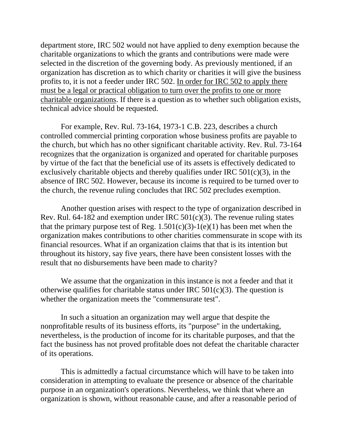department store, IRC 502 would not have applied to deny exemption because the charitable organizations to which the grants and contributions were made were selected in the discretion of the governing body. As previously mentioned, if an organization has discretion as to which charity or charities it will give the business profits to, it is not a feeder under IRC 502. In order for IRC 502 to apply there must be a legal or practical obligation to turn over the profits to one or more charitable organizations. If there is a question as to whether such obligation exists, technical advice should be requested.

For example, Rev. Rul. 73-164, 1973-1 C.B. 223, describes a church controlled commercial printing corporation whose business profits are payable to the church, but which has no other significant charitable activity. Rev. Rul. 73-164 recognizes that the organization is organized and operated for charitable purposes by virtue of the fact that the beneficial use of its assets is effectively dedicated to exclusively charitable objects and thereby qualifies under IRC 501(c)(3), in the absence of IRC 502. However, because its income is required to be turned over to the church, the revenue ruling concludes that IRC 502 precludes exemption.

Another question arises with respect to the type of organization described in Rev. Rul. 64-182 and exemption under IRC 501(c)(3). The revenue ruling states that the primary purpose test of Reg.  $1.501(c)(3)-1(e)(1)$  has been met when the organization makes contributions to other charities commensurate in scope with its financial resources. What if an organization claims that that is its intention but throughout its history, say five years, there have been consistent losses with the result that no disbursements have been made to charity?

We assume that the organization in this instance is not a feeder and that it otherwise qualifies for charitable status under IRC  $501(c)(3)$ . The question is whether the organization meets the "commensurate test".

In such a situation an organization may well argue that despite the nonprofitable results of its business efforts, its "purpose" in the undertaking, nevertheless, is the production of income for its charitable purposes, and that the fact the business has not proved profitable does not defeat the charitable character of its operations.

This is admittedly a factual circumstance which will have to be taken into consideration in attempting to evaluate the presence or absence of the charitable purpose in an organization's operations. Nevertheless, we think that where an organization is shown, without reasonable cause, and after a reasonable period of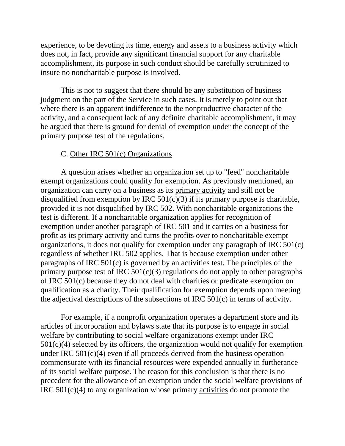experience, to be devoting its time, energy and assets to a business activity which does not, in fact, provide any significant financial support for any charitable accomplishment, its purpose in such conduct should be carefully scrutinized to insure no noncharitable purpose is involved.

This is not to suggest that there should be any substitution of business judgment on the part of the Service in such cases. It is merely to point out that where there is an apparent indifference to the nonproductive character of the activity, and a consequent lack of any definite charitable accomplishment, it may be argued that there is ground for denial of exemption under the concept of the primary purpose test of the regulations.

## C. Other IRC 501(c) Organizations

A question arises whether an organization set up to "feed" noncharitable exempt organizations could qualify for exemption. As previously mentioned, an organization can carry on a business as its primary activity and still not be disqualified from exemption by IRC  $501(c)(3)$  if its primary purpose is charitable, provided it is not disqualified by IRC 502. With noncharitable organizations the test is different. If a noncharitable organization applies for recognition of exemption under another paragraph of IRC 501 and it carries on a business for profit as its primary activity and turns the profits over to noncharitable exempt organizations, it does not qualify for exemption under any paragraph of IRC 501(c) regardless of whether IRC 502 applies. That is because exemption under other paragraphs of IRC 501(c) is governed by an activities test. The principles of the primary purpose test of IRC  $501(c)(3)$  regulations do not apply to other paragraphs of IRC 501(c) because they do not deal with charities or predicate exemption on qualification as a charity. Their qualification for exemption depends upon meeting the adjectival descriptions of the subsections of IRC 501(c) in terms of activity.

For example, if a nonprofit organization operates a department store and its articles of incorporation and bylaws state that its purpose is to engage in social welfare by contributing to social welfare organizations exempt under IRC  $501(c)(4)$  selected by its officers, the organization would not qualify for exemption under IRC 501(c)(4) even if all proceeds derived from the business operation commensurate with its financial resources were expended annually in furtherance of its social welfare purpose. The reason for this conclusion is that there is no precedent for the allowance of an exemption under the social welfare provisions of IRC 501(c)(4) to any organization whose primary activities do not promote the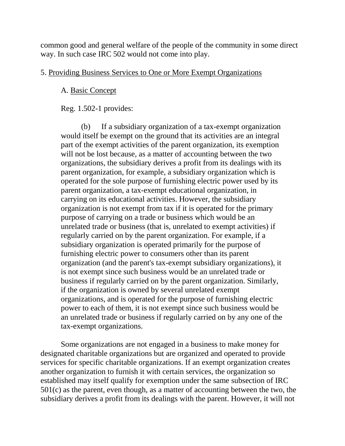common good and general welfare of the people of the community in some direct way. In such case IRC 502 would not come into play.

## 5. Providing Business Services to One or More Exempt Organizations

## A. Basic Concept

Reg. 1.502-1 provides:

(b) If a subsidiary organization of a tax-exempt organization would itself be exempt on the ground that its activities are an integral part of the exempt activities of the parent organization, its exemption will not be lost because, as a matter of accounting between the two organizations, the subsidiary derives a profit from its dealings with its parent organization, for example, a subsidiary organization which is operated for the sole purpose of furnishing electric power used by its parent organization, a tax-exempt educational organization, in carrying on its educational activities. However, the subsidiary organization is not exempt from tax if it is operated for the primary purpose of carrying on a trade or business which would be an unrelated trade or business (that is, unrelated to exempt activities) if regularly carried on by the parent organization. For example, if a subsidiary organization is operated primarily for the purpose of furnishing electric power to consumers other than its parent organization (and the parent's tax-exempt subsidiary organizations), it is not exempt since such business would be an unrelated trade or business if regularly carried on by the parent organization. Similarly, if the organization is owned by several unrelated exempt organizations, and is operated for the purpose of furnishing electric power to each of them, it is not exempt since such business would be an unrelated trade or business if regularly carried on by any one of the tax-exempt organizations.

Some organizations are not engaged in a business to make money for designated charitable organizations but are organized and operated to provide services for specific charitable organizations. If an exempt organization creates another organization to furnish it with certain services, the organization so established may itself qualify for exemption under the same subsection of IRC 501(c) as the parent, even though, as a matter of accounting between the two, the subsidiary derives a profit from its dealings with the parent. However, it will not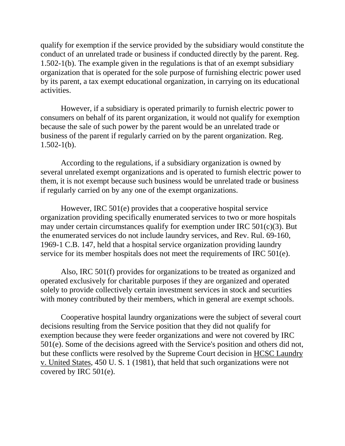qualify for exemption if the service provided by the subsidiary would constitute the conduct of an unrelated trade or business if conducted directly by the parent. Reg. 1.502-1(b). The example given in the regulations is that of an exempt subsidiary organization that is operated for the sole purpose of furnishing electric power used by its parent, a tax exempt educational organization, in carrying on its educational activities.

However, if a subsidiary is operated primarily to furnish electric power to consumers on behalf of its parent organization, it would not qualify for exemption because the sale of such power by the parent would be an unrelated trade or business of the parent if regularly carried on by the parent organization. Reg.  $1.502 - 1(b)$ .

According to the regulations, if a subsidiary organization is owned by several unrelated exempt organizations and is operated to furnish electric power to them, it is not exempt because such business would be unrelated trade or business if regularly carried on by any one of the exempt organizations.

However, IRC 501(e) provides that a cooperative hospital service organization providing specifically enumerated services to two or more hospitals may under certain circumstances qualify for exemption under IRC 501(c)(3). But the enumerated services do not include laundry services, and Rev. Rul. 69-160, 1969-1 C.B. 147, held that a hospital service organization providing laundry service for its member hospitals does not meet the requirements of IRC 501(e).

Also, IRC 501(f) provides for organizations to be treated as organized and operated exclusively for charitable purposes if they are organized and operated solely to provide collectively certain investment services in stock and securities with money contributed by their members, which in general are exempt schools.

Cooperative hospital laundry organizations were the subject of several court decisions resulting from the Service position that they did not qualify for exemption because they were feeder organizations and were not covered by IRC 501(e). Some of the decisions agreed with the Service's position and others did not, but these conflicts were resolved by the Supreme Court decision in HCSC Laundry v. United States, 450 U. S. 1 (1981), that held that such organizations were not covered by IRC 501(e).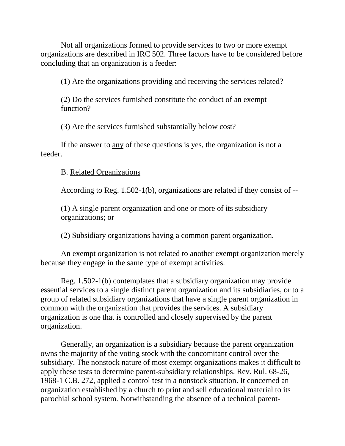Not all organizations formed to provide services to two or more exempt organizations are described in IRC 502. Three factors have to be considered before concluding that an organization is a feeder:

(1) Are the organizations providing and receiving the services related?

(2) Do the services furnished constitute the conduct of an exempt function?

(3) Are the services furnished substantially below cost?

If the answer to any of these questions is yes, the organization is not a feeder.

B. Related Organizations

According to Reg. 1.502-1(b), organizations are related if they consist of --

(1) A single parent organization and one or more of its subsidiary organizations; or

(2) Subsidiary organizations having a common parent organization.

An exempt organization is not related to another exempt organization merely because they engage in the same type of exempt activities.

Reg. 1.502-1(b) contemplates that a subsidiary organization may provide essential services to a single distinct parent organization and its subsidiaries, or to a group of related subsidiary organizations that have a single parent organization in common with the organization that provides the services. A subsidiary organization is one that is controlled and closely supervised by the parent organization.

Generally, an organization is a subsidiary because the parent organization owns the majority of the voting stock with the concomitant control over the subsidiary. The nonstock nature of most exempt organizations makes it difficult to apply these tests to determine parent-subsidiary relationships. Rev. Rul. 68-26, 1968-1 C.B. 272, applied a control test in a nonstock situation. It concerned an organization established by a church to print and sell educational material to its parochial school system. Notwithstanding the absence of a technical parent-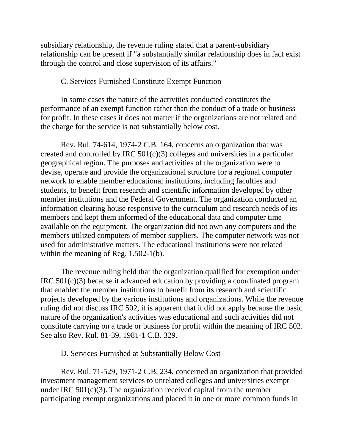subsidiary relationship, the revenue ruling stated that a parent-subsidiary relationship can be present if "a substantially similar relationship does in fact exist through the control and close supervision of its affairs."

## C. Services Furnished Constitute Exempt Function

In some cases the nature of the activities conducted constitutes the performance of an exempt function rather than the conduct of a trade or business for profit. In these cases it does not matter if the organizations are not related and the charge for the service is not substantially below cost.

Rev. Rul. 74-614, 1974-2 C.B. 164, concerns an organization that was created and controlled by IRC 501(c)(3) colleges and universities in a particular geographical region. The purposes and activities of the organization were to devise, operate and provide the organizational structure for a regional computer network to enable member educational institutions, including faculties and students, to benefit from research and scientific information developed by other member institutions and the Federal Government. The organization conducted an information clearing house responsive to the curriculum and research needs of its members and kept them informed of the educational data and computer time available on the equipment. The organization did not own any computers and the members utilized computers of member suppliers. The computer network was not used for administrative matters. The educational institutions were not related within the meaning of Reg. 1.502-1(b).

The revenue ruling held that the organization qualified for exemption under IRC 501(c)(3) because it advanced education by providing a coordinated program that enabled the member institutions to benefit from its research and scientific projects developed by the various institutions and organizations. While the revenue ruling did not discuss IRC 502, it is apparent that it did not apply because the basic nature of the organization's activities was educational and such activities did not constitute carrying on a trade or business for profit within the meaning of IRC 502. See also Rev. Rul. 81-39, 1981-1 C.B. 329.

## D. Services Furnished at Substantially Below Cost

Rev. Rul. 71-529, 1971-2 C.B. 234, concerned an organization that provided investment management services to unrelated colleges and universities exempt under IRC 501(c)(3). The organization received capital from the member participating exempt organizations and placed it in one or more common funds in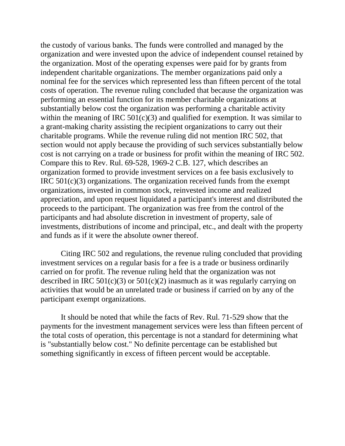the custody of various banks. The funds were controlled and managed by the organization and were invested upon the advice of independent counsel retained by the organization. Most of the operating expenses were paid for by grants from independent charitable organizations. The member organizations paid only a nominal fee for the services which represented less than fifteen percent of the total costs of operation. The revenue ruling concluded that because the organization was performing an essential function for its member charitable organizations at substantially below cost the organization was performing a charitable activity within the meaning of IRC  $501(c)(3)$  and qualified for exemption. It was similar to a grant-making charity assisting the recipient organizations to carry out their charitable programs. While the revenue ruling did not mention IRC 502, that section would not apply because the providing of such services substantially below cost is not carrying on a trade or business for profit within the meaning of IRC 502. Compare this to Rev. Rul. 69-528, 1969-2 C.B. 127, which describes an organization formed to provide investment services on a fee basis exclusively to IRC 501(c)(3) organizations. The organization received funds from the exempt organizations, invested in common stock, reinvested income and realized appreciation, and upon request liquidated a participant's interest and distributed the proceeds to the participant. The organization was free from the control of the participants and had absolute discretion in investment of property, sale of investments, distributions of income and principal, etc., and dealt with the property and funds as if it were the absolute owner thereof.

Citing IRC 502 and regulations, the revenue ruling concluded that providing investment services on a regular basis for a fee is a trade or business ordinarily carried on for profit. The revenue ruling held that the organization was not described in IRC  $501(c)(3)$  or  $501(c)(2)$  inasmuch as it was regularly carrying on activities that would be an unrelated trade or business if carried on by any of the participant exempt organizations.

It should be noted that while the facts of Rev. Rul. 71-529 show that the payments for the investment management services were less than fifteen percent of the total costs of operation, this percentage is not a standard for determining what is "substantially below cost." No definite percentage can be established but something significantly in excess of fifteen percent would be acceptable.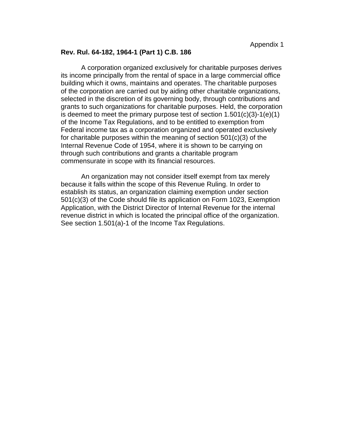#### **Rev. Rul. 64-182, 1964-1 (Part 1) C.B. 186**

A corporation organized exclusively for charitable purposes derives its income principally from the rental of space in a large commercial office building which it owns, maintains and operates. The charitable purposes of the corporation are carried out by aiding other charitable organizations, selected in the discretion of its governing body, through contributions and grants to such organizations for charitable purposes. Held, the corporation is deemed to meet the primary purpose test of section  $1.501(c)(3)-1(e)(1)$ of the Income Tax Regulations, and to be entitled to exemption from Federal income tax as a corporation organized and operated exclusively for charitable purposes within the meaning of section 501(c)(3) of the Internal Revenue Code of 1954, where it is shown to be carrying on through such contributions and grants a charitable program commensurate in scope with its financial resources.

An organization may not consider itself exempt from tax merely because it falls within the scope of this Revenue Ruling. In order to establish its status, an organization claiming exemption under section 501(c)(3) of the Code should file its application on Form 1023, Exemption Application, with the District Director of Internal Revenue for the internal revenue district in which is located the principal office of the organization. See section 1.501(a)-1 of the Income Tax Regulations.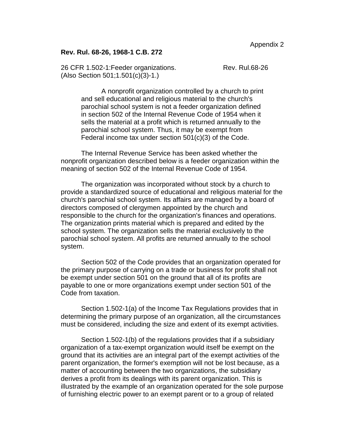#### **Rev. Rul. 68-26, 1968-1 C.B. 272**

26 CFR 1.502-1: Feeder organizations. Rev. Rul.68-26 (Also Section 501;1.501(c)(3)-1.)

A nonprofit organization controlled by a church to print and sell educational and religious material to the church's parochial school system is not a feeder organization defined in section 502 of the Internal Revenue Code of 1954 when it sells the material at a profit which is returned annually to the parochial school system. Thus, it may be exempt from Federal income tax under section 501(c)(3) of the Code.

The Internal Revenue Service has been asked whether the nonprofit organization described below is a feeder organization within the meaning of section 502 of the Internal Revenue Code of 1954.

The organization was incorporated without stock by a church to provide a standardized source of educational and religious material for the church's parochial school system. Its affairs are managed by a board of directors composed of clergymen appointed by the church and responsible to the church for the organization's finances and operations. The organization prints material which is prepared and edited by the school system. The organization sells the material exclusively to the parochial school system. All profits are returned annually to the school system.

Section 502 of the Code provides that an organization operated for the primary purpose of carrying on a trade or business for profit shall not be exempt under section 501 on the ground that all of its profits are payable to one or more organizations exempt under section 501 of the Code from taxation.

Section 1.502-1(a) of the Income Tax Regulations provides that in determining the primary purpose of an organization, all the circumstances must be considered, including the size and extent of its exempt activities.

Section 1.502-1(b) of the regulations provides that if a subsidiary organization of a tax-exempt organization would itself be exempt on the ground that its activities are an integral part of the exempt activities of the parent organization, the former's exemption will not be lost because, as a matter of accounting between the two organizations, the subsidiary derives a profit from its dealings with its parent organization. This is illustrated by the example of an organization operated for the sole purpose of furnishing electric power to an exempt parent or to a group of related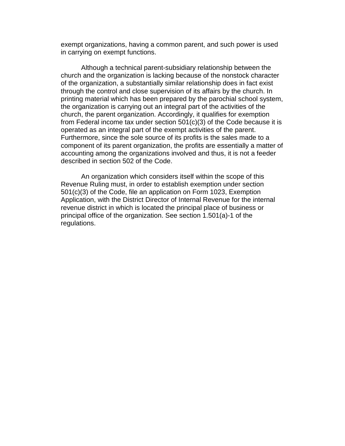exempt organizations, having a common parent, and such power is used in carrying on exempt functions.

Although a technical parent-subsidiary relationship between the church and the organization is lacking because of the nonstock character of the organization, a substantially similar relationship does in fact exist through the control and close supervision of its affairs by the church. In printing material which has been prepared by the parochial school system, the organization is carrying out an integral part of the activities of the church, the parent organization. Accordingly, it qualifies for exemption from Federal income tax under section 501(c)(3) of the Code because it is operated as an integral part of the exempt activities of the parent. Furthermore, since the sole source of its profits is the sales made to a component of its parent organization, the profits are essentially a matter of accounting among the organizations involved and thus, it is not a feeder described in section 502 of the Code.

An organization which considers itself within the scope of this Revenue Ruling must, in order to establish exemption under section 501(c)(3) of the Code, file an application on Form 1023, Exemption Application, with the District Director of Internal Revenue for the internal revenue district in which is located the principal place of business or principal office of the organization. See section 1.501(a)-1 of the regulations.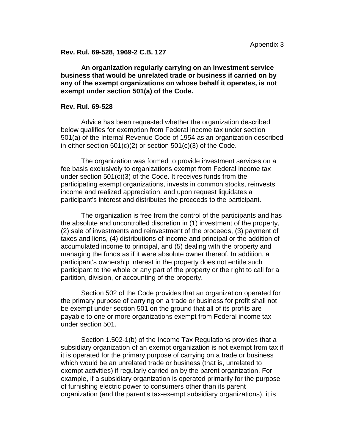**Rev. Rul. 69-528, 1969-2 C.B. 127** 

**An organization regularly carrying on an investment service business that would be unrelated trade or business if carried on by any of the exempt organizations on whose behalf it operates, is not exempt under section 501(a) of the Code.** 

#### **Rev. Rul. 69-528**

Advice has been requested whether the organization described below qualifies for exemption from Federal income tax under section 501(a) of the Internal Revenue Code of 1954 as an organization described in either section  $501(c)(2)$  or section  $501(c)(3)$  of the Code.

The organization was formed to provide investment services on a fee basis exclusively to organizations exempt from Federal income tax under section 501(c)(3) of the Code. It receives funds from the participating exempt organizations, invests in common stocks, reinvests income and realized appreciation, and upon request liquidates a participant's interest and distributes the proceeds to the participant.

The organization is free from the control of the participants and has the absolute and uncontrolled discretion in (1) investment of the property, (2) sale of investments and reinvestment of the proceeds, (3) payment of taxes and liens, (4) distributions of income and principal or the addition of accumulated income to principal, and (5) dealing with the property and managing the funds as if it were absolute owner thereof. In addition, a participant's ownership interest in the property does not entitle such participant to the whole or any part of the property or the right to call for a partition, division, or accounting of the property.

Section 502 of the Code provides that an organization operated for the primary purpose of carrying on a trade or business for profit shall not be exempt under section 501 on the ground that all of its profits are payable to one or more organizations exempt from Federal income tax under section 501.

Section 1.502-1(b) of the Income Tax Regulations provides that a subsidiary organization of an exempt organization is not exempt from tax if it is operated for the primary purpose of carrying on a trade or business which would be an unrelated trade or business (that is, unrelated to exempt activities) if regularly carried on by the parent organization. For example, if a subsidiary organization is operated primarily for the purpose of furnishing electric power to consumers other than its parent organization (and the parent's tax-exempt subsidiary organizations), it is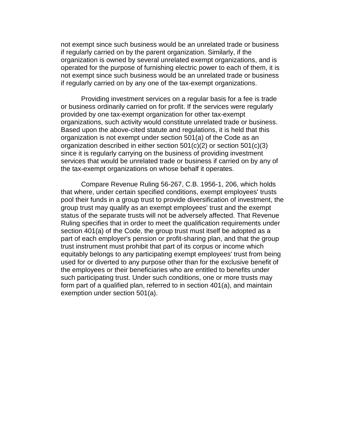not exempt since such business would be an unrelated trade or business if regularly carried on by the parent organization. Similarly, if the organization is owned by several unrelated exempt organizations, and is operated for the purpose of furnishing electric power to each of them, it is not exempt since such business would be an unrelated trade or business if regularly carried on by any one of the tax-exempt organizations.

Providing investment services on a regular basis for a fee is trade or business ordinarily carried on for profit. If the services were regularly provided by one tax-exempt organization for other tax-exempt organizations, such activity would constitute unrelated trade or business. Based upon the above-cited statute and regulations, it is held that this organization is not exempt under section 501(a) of the Code as an organization described in either section 501(c)(2) or section 501(c)(3) since it is regularly carrying on the business of providing investment services that would be unrelated trade or business if carried on by any of the tax-exempt organizations on whose behalf it operates.

Compare Revenue Ruling 56-267, C.B. 1956-1, 206, which holds that where, under certain specified conditions, exempt employees' trusts pool their funds in a group trust to provide diversification of investment, the group trust may qualify as an exempt employees' trust and the exempt status of the separate trusts will not be adversely affected. That Revenue Ruling specifies that in order to meet the qualification requirements under section 401(a) of the Code, the group trust must itself be adopted as a part of each employer's pension or profit-sharing plan, and that the group trust instrument must prohibit that part of its corpus or income which equitably belongs to any participating exempt employees' trust from being used for or diverted to any purpose other than for the exclusive benefit of the employees or their beneficiaries who are entitled to benefits under such participating trust. Under such conditions, one or more trusts may form part of a qualified plan, referred to in section 401(a), and maintain exemption under section 501(a).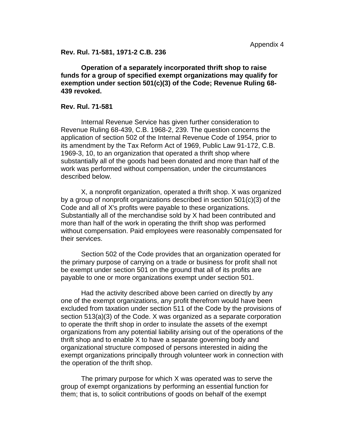**Rev. Rul. 71-581, 1971-2 C.B. 236** 

**Operation of a separately incorporated thrift shop to raise funds for a group of specified exempt organizations may qualify for exemption under section 501(c)(3) of the Code; Revenue Ruling 68- 439 revoked.** 

#### **Rev. Rul. 71-581**

Internal Revenue Service has given further consideration to Revenue Ruling 68-439, C.B. 1968-2, 239. The question concerns the application of section 502 of the Internal Revenue Code of 1954, prior to its amendment by the Tax Reform Act of 1969, Public Law 91-172, C.B. 1969-3, 10, to an organization that operated a thrift shop where substantially all of the goods had been donated and more than half of the work was performed without compensation, under the circumstances described below.

X, a nonprofit organization, operated a thrift shop. X was organized by a group of nonprofit organizations described in section 501(c)(3) of the Code and all of X's profits were payable to these organizations. Substantially all of the merchandise sold by X had been contributed and more than half of the work in operating the thrift shop was performed without compensation. Paid employees were reasonably compensated for their services.

Section 502 of the Code provides that an organization operated for the primary purpose of carrying on a trade or business for profit shall not be exempt under section 501 on the ground that all of its profits are payable to one or more organizations exempt under section 501.

Had the activity described above been carried on directly by any one of the exempt organizations, any profit therefrom would have been excluded from taxation under section 511 of the Code by the provisions of section 513(a)(3) of the Code. X was organized as a separate corporation to operate the thrift shop in order to insulate the assets of the exempt organizations from any potential liability arising out of the operations of the thrift shop and to enable X to have a separate governing body and organizational structure composed of persons interested in aiding the exempt organizations principally through volunteer work in connection with the operation of the thrift shop.

The primary purpose for which X was operated was to serve the group of exempt organizations by performing an essential function for them; that is, to solicit contributions of goods on behalf of the exempt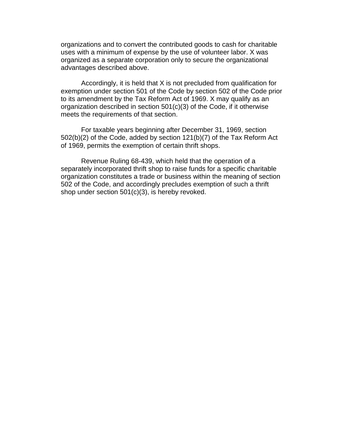organizations and to convert the contributed goods to cash for charitable uses with a minimum of expense by the use of volunteer labor. X was organized as a separate corporation only to secure the organizational advantages described above.

Accordingly, it is held that X is not precluded from qualification for exemption under section 501 of the Code by section 502 of the Code prior to its amendment by the Tax Reform Act of 1969. X may qualify as an organization described in section 501(c)(3) of the Code, if it otherwise meets the requirements of that section.

For taxable years beginning after December 31, 1969, section 502(b)(2) of the Code, added by section 121(b)(7) of the Tax Reform Act of 1969, permits the exemption of certain thrift shops.

Revenue Ruling 68-439, which held that the operation of a separately incorporated thrift shop to raise funds for a specific charitable organization constitutes a trade or business within the meaning of section 502 of the Code, and accordingly precludes exemption of such a thrift shop under section 501(c)(3), is hereby revoked.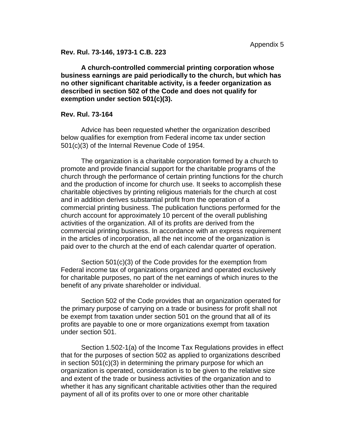**Rev. Rul. 73-146, 1973-1 C.B. 223** 

**A church-controlled commercial printing corporation whose business earnings are paid periodically to the church, but which has no other significant charitable activity, is a feeder organization as described in section 502 of the Code and does not qualify for exemption under section 501(c)(3).** 

#### **Rev. Rul. 73-164**

Advice has been requested whether the organization described below qualifies for exemption from Federal income tax under section 501(c)(3) of the Internal Revenue Code of 1954.

The organization is a charitable corporation formed by a church to promote and provide financial support for the charitable programs of the church through the performance of certain printing functions for the church and the production of income for church use. It seeks to accomplish these charitable objectives by printing religious materials for the church at cost and in addition derives substantial profit from the operation of a commercial printing business. The publication functions performed for the church account for approximately 10 percent of the overall publishing activities of the organization. All of its profits are derived from the commercial printing business. In accordance with an express requirement in the articles of incorporation, all the net income of the organization is paid over to the church at the end of each calendar quarter of operation.

Section 501(c)(3) of the Code provides for the exemption from Federal income tax of organizations organized and operated exclusively for charitable purposes, no part of the net earnings of which inures to the benefit of any private shareholder or individual.

Section 502 of the Code provides that an organization operated for the primary purpose of carrying on a trade or business for profit shall not be exempt from taxation under section 501 on the ground that all of its profits are payable to one or more organizations exempt from taxation under section 501.

Section 1.502-1(a) of the Income Tax Regulations provides in effect that for the purposes of section 502 as applied to organizations described in section 501(c)(3) in determining the primary purpose for which an organization is operated, consideration is to be given to the relative size and extent of the trade or business activities of the organization and to whether it has any significant charitable activities other than the required payment of all of its profits over to one or more other charitable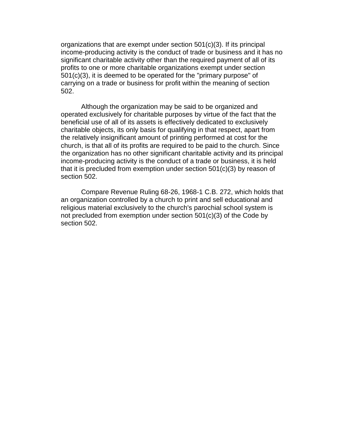organizations that are exempt under section 501(c)(3). If its principal income-producing activity is the conduct of trade or business and it has no significant charitable activity other than the required payment of all of its profits to one or more charitable organizations exempt under section 501(c)(3), it is deemed to be operated for the "primary purpose" of carrying on a trade or business for profit within the meaning of section 502.

Although the organization may be said to be organized and operated exclusively for charitable purposes by virtue of the fact that the beneficial use of all of its assets is effectively dedicated to exclusively charitable objects, its only basis for qualifying in that respect, apart from the relatively insignificant amount of printing performed at cost for the church, is that all of its profits are required to be paid to the church. Since the organization has no other significant charitable activity and its principal income-producing activity is the conduct of a trade or business, it is held that it is precluded from exemption under section 501(c)(3) by reason of section 502.

Compare Revenue Ruling 68-26, 1968-1 C.B. 272, which holds that an organization controlled by a church to print and sell educational and religious material exclusively to the church's parochial school system is not precluded from exemption under section 501(c)(3) of the Code by section 502.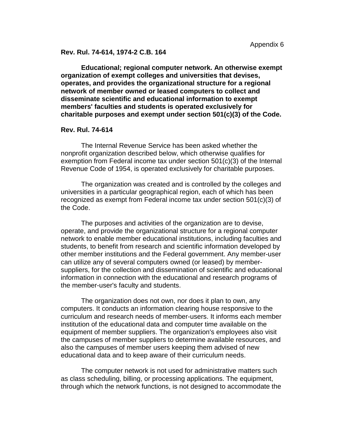#### **Rev. Rul. 74-614, 1974-2 C.B. 164**

**Educational; regional computer network. An otherwise exempt organization of exempt colleges and universities that devises, operates, and provides the organizational structure for a regional network of member owned or leased computers to collect and disseminate scientific and educational information to exempt members' faculties and students is operated exclusively for charitable purposes and exempt under section 501(c)(3) of the Code.** 

#### **Rev. Rul. 74-614**

The Internal Revenue Service has been asked whether the nonprofit organization described below, which otherwise qualifies for exemption from Federal income tax under section 501(c)(3) of the Internal Revenue Code of 1954, is operated exclusively for charitable purposes.

The organization was created and is controlled by the colleges and universities in a particular geographical region, each of which has been recognized as exempt from Federal income tax under section 501(c)(3) of the Code.

The purposes and activities of the organization are to devise, operate, and provide the organizational structure for a regional computer network to enable member educational institutions, including faculties and students, to benefit from research and scientific information developed by other member institutions and the Federal government. Any member-user can utilize any of several computers owned (or leased) by membersuppliers, for the collection and dissemination of scientific and educational information in connection with the educational and research programs of the member-user's faculty and students.

The organization does not own, nor does it plan to own, any computers. It conducts an information clearing house responsive to the curriculum and research needs of member-users. It informs each member institution of the educational data and computer time available on the equipment of member suppliers. The organization's employees also visit the campuses of member suppliers to determine available resources, and also the campuses of member users keeping them advised of new educational data and to keep aware of their curriculum needs.

The computer network is not used for administrative matters such as class scheduling, billing, or processing applications. The equipment, through which the network functions, is not designed to accommodate the